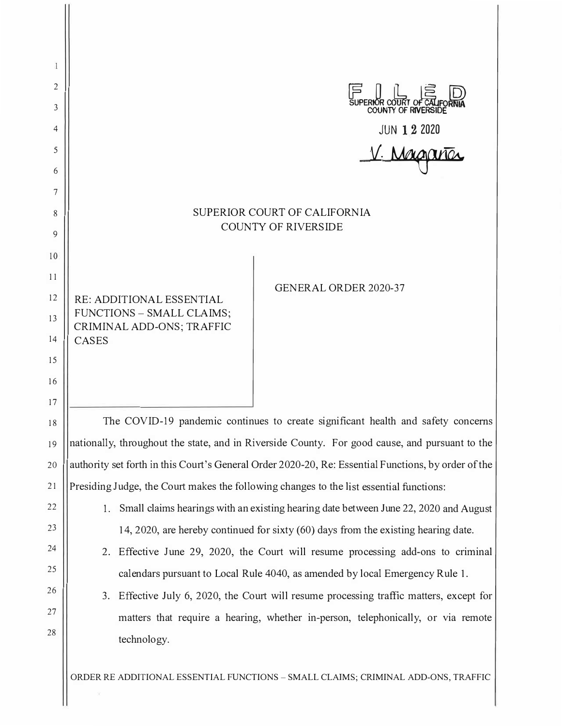| 1        |                                                                                                     |                                                                                         |                                                                                      |
|----------|-----------------------------------------------------------------------------------------------------|-----------------------------------------------------------------------------------------|--------------------------------------------------------------------------------------|
| 2        | SUPERIOR COURT OF CALIFO                                                                            |                                                                                         |                                                                                      |
| 3        |                                                                                                     |                                                                                         |                                                                                      |
| 4        | <b>JUN 1 2 2020</b>                                                                                 |                                                                                         |                                                                                      |
| 5<br>6   | V. Margar                                                                                           |                                                                                         |                                                                                      |
| 7        |                                                                                                     |                                                                                         |                                                                                      |
| 8        | SUPERIOR COURT OF CALIFORNIA                                                                        |                                                                                         |                                                                                      |
| 9        | <b>COUNTY OF RIVERSIDE</b>                                                                          |                                                                                         |                                                                                      |
| 10       |                                                                                                     |                                                                                         |                                                                                      |
| 11       |                                                                                                     |                                                                                         |                                                                                      |
| 12       | RE: ADDITIONAL ESSENTIAL<br>FUNCTIONS - SMALL CLAIMS;<br>CRIMINAL ADD-ONS; TRAFFIC                  |                                                                                         | <b>GENERAL ORDER 2020-37</b>                                                         |
| 13       |                                                                                                     |                                                                                         |                                                                                      |
| 14       | <b>CASES</b>                                                                                        |                                                                                         |                                                                                      |
| 15       |                                                                                                     |                                                                                         |                                                                                      |
| 16       |                                                                                                     |                                                                                         |                                                                                      |
| 17       |                                                                                                     |                                                                                         |                                                                                      |
| 18       | The COVID-19 pandemic continues to create significant health and safety concerns                    |                                                                                         |                                                                                      |
| 19       | nationally, throughout the state, and in Riverside County. For good cause, and pursuant to the      |                                                                                         |                                                                                      |
| 20       | authority set forth in this Court's General Order 2020-20, Re: Essential Functions, by order of the |                                                                                         |                                                                                      |
| 21       | Presiding Judge, the Court makes the following changes to the list essential functions:             |                                                                                         |                                                                                      |
| 22<br>23 | 1.                                                                                                  |                                                                                         | Small claims hearings with an existing hearing date between June 22, 2020 and August |
| 24       |                                                                                                     |                                                                                         | 14, 2020, are hereby continued for sixty (60) days from the existing hearing date.   |
| 25       | 2. Effective June 29, 2020, the Court will resume processing add-ons to criminal                    |                                                                                         |                                                                                      |
| 26       |                                                                                                     | calendars pursuant to Local Rule 4040, as amended by local Emergency Rule 1.            |                                                                                      |
| 27       |                                                                                                     | 3. Effective July 6, 2020, the Court will resume processing traffic matters, except for |                                                                                      |
| 28       |                                                                                                     |                                                                                         | matters that require a hearing, whether in-person, telephonically, or via remote     |
|          |                                                                                                     | technology.                                                                             |                                                                                      |
|          |                                                                                                     |                                                                                         |                                                                                      |

ORDER RE ADDITIONAL ESSENTIAL FUNCTIONS - SMALL CLAIMS; CRIMINAL ADD-ONS, TRAFFIC